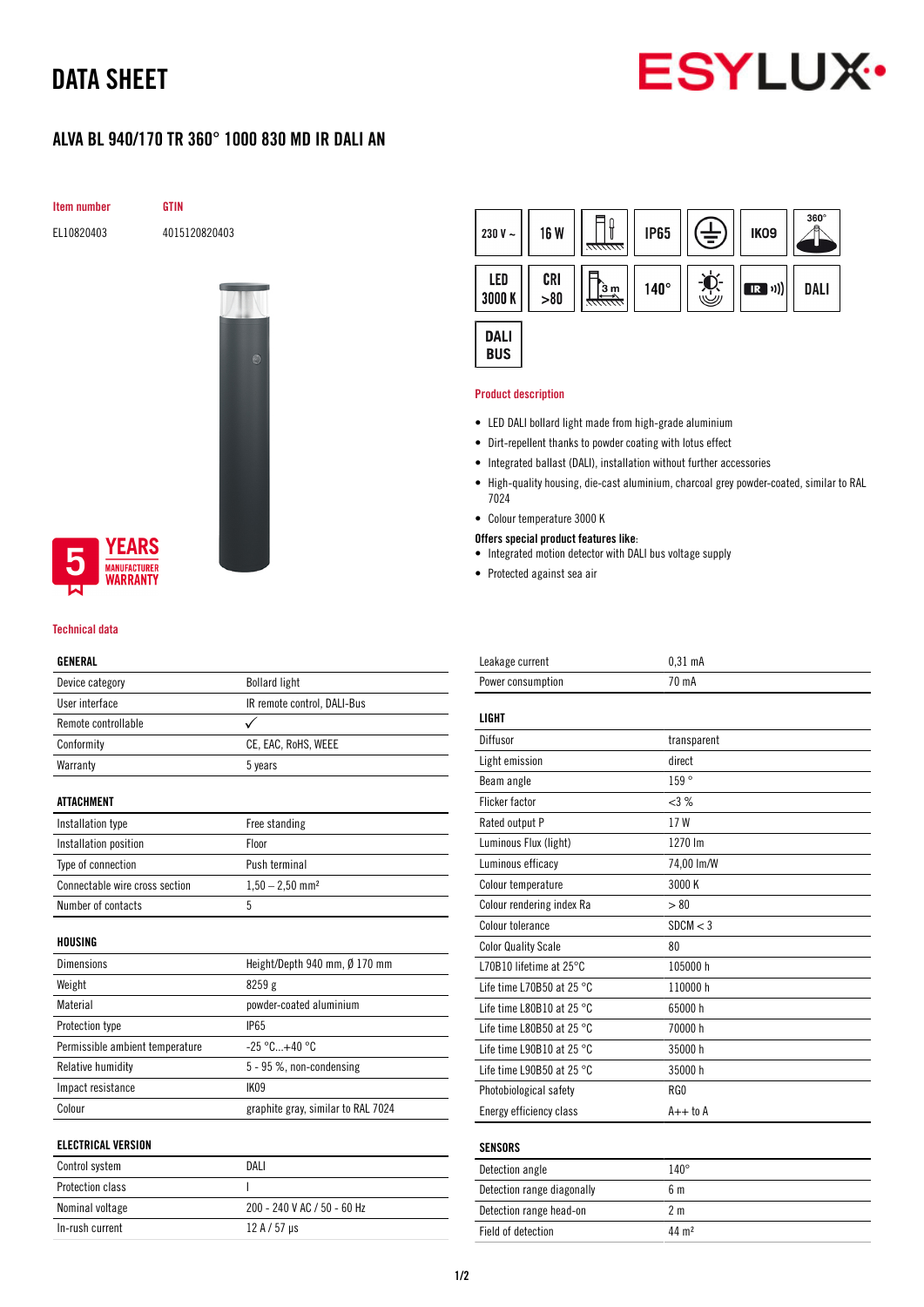# DATA SHEET



# ALVA BL 940/170 TR 360° 1000 830 MD IR DALI AN

Item number GTIN

EL10820403 4015120820403



# **YEARS NUFACTURER** *NARRANTY*

### Technical data

## GENERAL

| Device category                 | <b>Bollard light</b>               |
|---------------------------------|------------------------------------|
| User interface                  | IR remote control, DALI-Bus        |
| Remote controllable             |                                    |
| Conformity                      | CE, EAC, RoHS, WEEE                |
| Warranty                        | 5 years                            |
|                                 |                                    |
| ATTACHMENT                      |                                    |
| Installation type               | Free standing                      |
| Installation position           | Floor                              |
| Type of connection              | Push terminal                      |
| Connectable wire cross section  | $1,50 - 2,50$ mm <sup>2</sup>      |
| Number of contacts              | 5                                  |
|                                 |                                    |
| HOUSING                         |                                    |
| <b>Dimensions</b>               | Height/Depth 940 mm, Ø 170 mm      |
| Weight                          | 8259 g                             |
| Material                        | powder-coated aluminium            |
| Protection type                 | <b>IP65</b>                        |
| Permissible ambient temperature | $-25 °C+40 °C$                     |
| Relative humidity               | 5 - 95 %, non-condensing           |
| Impact resistance               | IK09                               |
| Colour                          | graphite gray, similar to RAL 7024 |
|                                 |                                    |
| <b>ELECTRICAL VERSION</b>       |                                    |
| Control system                  | DALI                               |
| <b>Protection class</b>         | I                                  |

Nominal voltage 200 - 240 V AC / 50 - 60 Hz

In-rush current  $12 A / 57 \mu s$ 



#### Product description

- LED DALI bollard light made from high-grade aluminium
- Dirt-repellent thanks to powder coating with lotus effect
- Integrated ballast (DALI), installation without further accessories
- High-quality housing, die-cast aluminium, charcoal grey powder-coated, similar to RAL 7024
- Colour temperature 3000 K
- Offers special product features like:
- Integrated motion detector with DALI bus voltage supply
- Protected against sea air

| Leakage current                     | $0.31$ mA      |
|-------------------------------------|----------------|
| Power consumption                   | 70 mA          |
|                                     |                |
| <b>LIGHT</b>                        |                |
| Diffusor                            | transparent    |
| Light emission                      | direct         |
| Beam angle                          | 159°           |
| <b>Flicker factor</b>               | <3%            |
| Rated output P                      | 17 W           |
| Luminous Flux (light)               | 1270 lm        |
| Luminous efficacy                   | 74,00 lm/W     |
| Colour temperature                  | 3000 K         |
| Colour rendering index Ra           | > 80           |
| Colour tolerance                    | SDCM < 3       |
| <b>Color Quality Scale</b>          | 80             |
| L70B10 lifetime at 25°C             | 105000 h       |
| Life time L70B50 at 25 $^{\circ}$ C | 110000h        |
| Life time L80B10 at 25 $^{\circ}$ C | 65000h         |
| Life time L80B50 at 25 $^{\circ}$ C | 70000 h        |
| Life time L90B10 at 25 °C           | 35000h         |
| Life time L90B50 at 25 °C           | 35000h         |
| Photobiological safety              | RG0            |
| Energy efficiency class             | $A++$ to $A$   |
|                                     |                |
| <b>SENSORS</b>                      |                |
| Detection angle                     | $140^\circ$    |
| Detection range diagonally          | 6 <sub>m</sub> |
| Detection range head-on             | 2 <sub>m</sub> |

Field of detection 44 m<sup>2</sup>